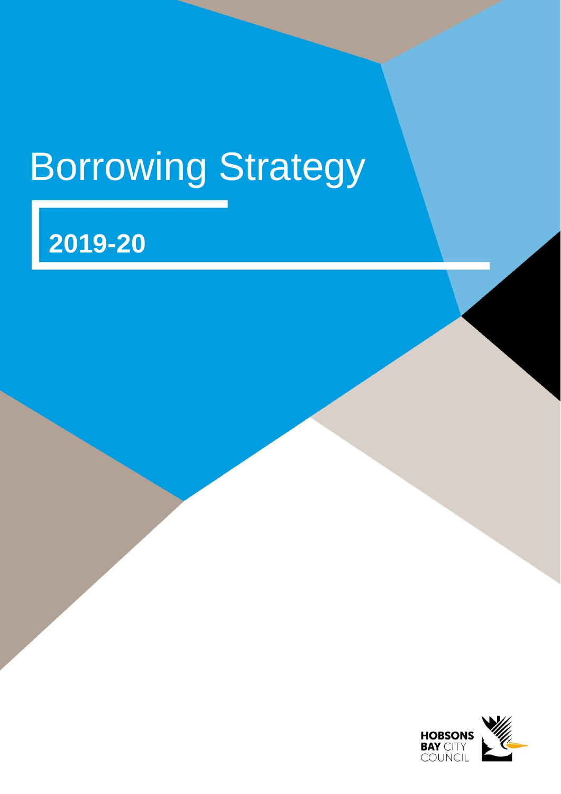# Borrowing Strategy

Hobsons Bay City Council – Borrowing Strategy 2019-20

# **2019-20**

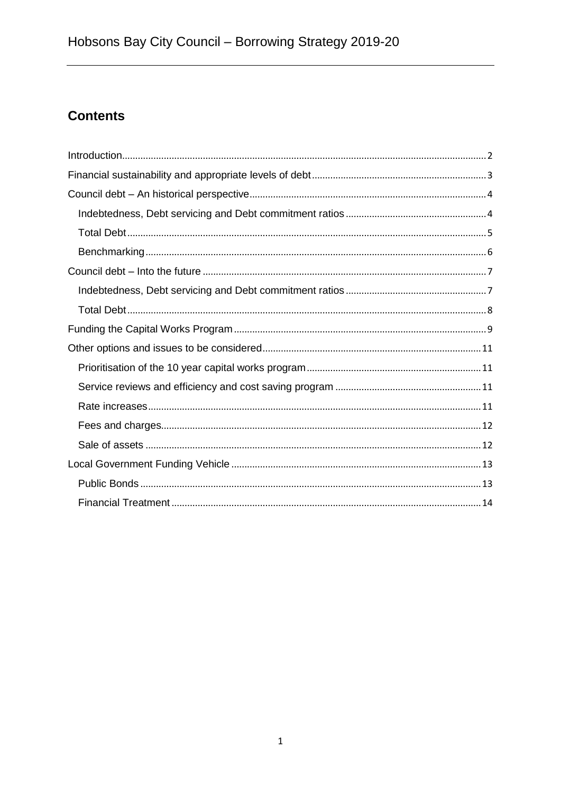# **Contents**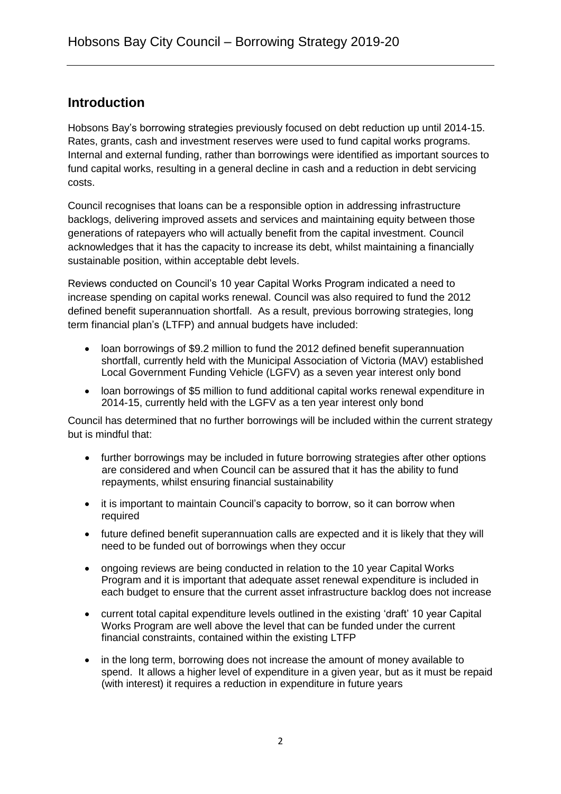# <span id="page-2-0"></span>**Introduction**

Hobsons Bay's borrowing strategies previously focused on debt reduction up until 2014-15. Rates, grants, cash and investment reserves were used to fund capital works programs. Internal and external funding, rather than borrowings were identified as important sources to fund capital works, resulting in a general decline in cash and a reduction in debt servicing costs.

Council recognises that loans can be a responsible option in addressing infrastructure backlogs, delivering improved assets and services and maintaining equity between those generations of ratepayers who will actually benefit from the capital investment. Council acknowledges that it has the capacity to increase its debt, whilst maintaining a financially sustainable position, within acceptable debt levels.

Reviews conducted on Council's 10 year Capital Works Program indicated a need to increase spending on capital works renewal. Council was also required to fund the 2012 defined benefit superannuation shortfall. As a result, previous borrowing strategies, long term financial plan's (LTFP) and annual budgets have included:

- loan borrowings of \$9.2 million to fund the 2012 defined benefit superannuation shortfall, currently held with the Municipal Association of Victoria (MAV) established Local Government Funding Vehicle (LGFV) as a seven year interest only bond
- loan borrowings of \$5 million to fund additional capital works renewal expenditure in 2014-15, currently held with the LGFV as a ten year interest only bond

Council has determined that no further borrowings will be included within the current strategy but is mindful that:

- further borrowings may be included in future borrowing strategies after other options are considered and when Council can be assured that it has the ability to fund repayments, whilst ensuring financial sustainability
- it is important to maintain Council's capacity to borrow, so it can borrow when required
- future defined benefit superannuation calls are expected and it is likely that they will need to be funded out of borrowings when they occur
- ongoing reviews are being conducted in relation to the 10 year Capital Works Program and it is important that adequate asset renewal expenditure is included in each budget to ensure that the current asset infrastructure backlog does not increase
- current total capital expenditure levels outlined in the existing 'draft' 10 year Capital Works Program are well above the level that can be funded under the current financial constraints, contained within the existing LTFP
- in the long term, borrowing does not increase the amount of money available to spend. It allows a higher level of expenditure in a given year, but as it must be repaid (with interest) it requires a reduction in expenditure in future years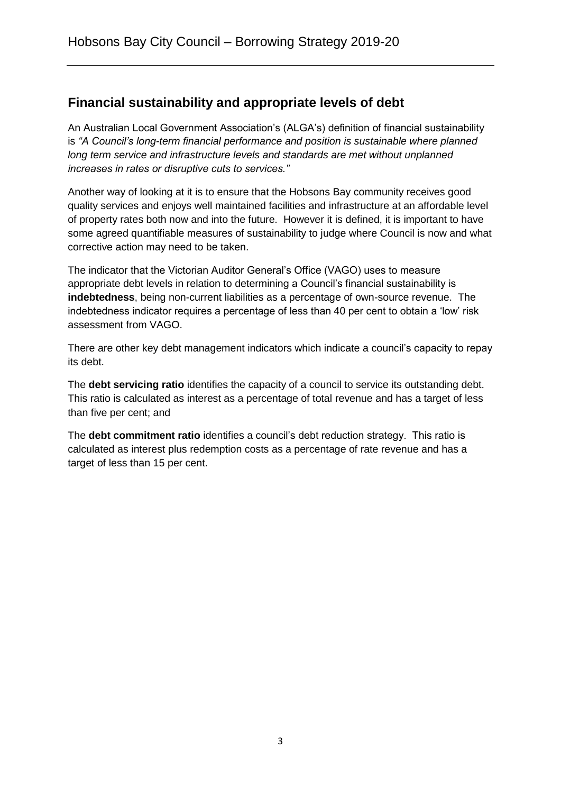# <span id="page-3-0"></span>**Financial sustainability and appropriate levels of debt**

An Australian Local Government Association's (ALGA's) definition of financial sustainability is *"A Council's long-term financial performance and position is sustainable where planned long term service and infrastructure levels and standards are met without unplanned increases in rates or disruptive cuts to services."*

Another way of looking at it is to ensure that the Hobsons Bay community receives good quality services and enjoys well maintained facilities and infrastructure at an affordable level of property rates both now and into the future. However it is defined, it is important to have some agreed quantifiable measures of sustainability to judge where Council is now and what corrective action may need to be taken.

The indicator that the Victorian Auditor General's Office (VAGO) uses to measure appropriate debt levels in relation to determining a Council's financial sustainability is **indebtedness**, being non-current liabilities as a percentage of own-source revenue. The indebtedness indicator requires a percentage of less than 40 per cent to obtain a 'low' risk assessment from VAGO.

There are other key debt management indicators which indicate a council's capacity to repay its debt.

The **debt servicing ratio** identifies the capacity of a council to service its outstanding debt. This ratio is calculated as interest as a percentage of total revenue and has a target of less than five per cent; and

The **debt commitment ratio** identifies a council's debt reduction strategy. This ratio is calculated as interest plus redemption costs as a percentage of rate revenue and has a target of less than 15 per cent.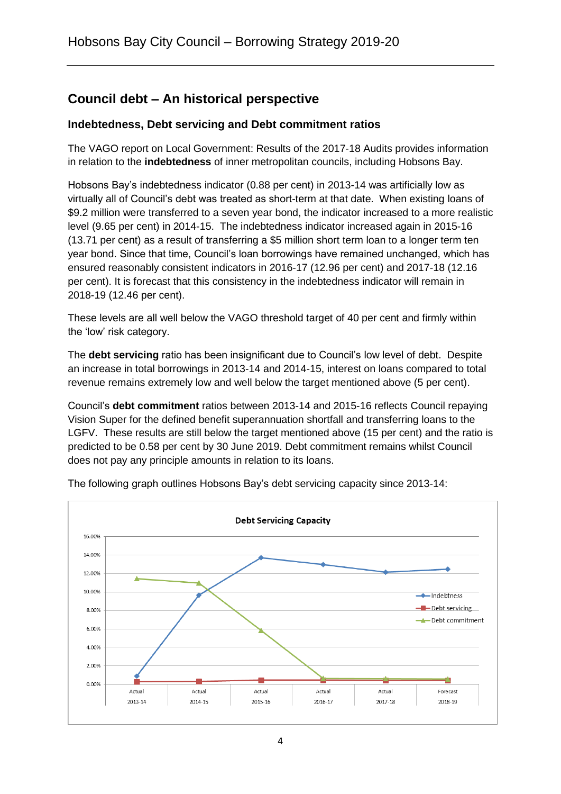# <span id="page-4-0"></span>**Council debt – An historical perspective**

### <span id="page-4-1"></span>**Indebtedness, Debt servicing and Debt commitment ratios**

The VAGO report on Local Government: Results of the 2017-18 Audits provides information in relation to the **indebtedness** of inner metropolitan councils, including Hobsons Bay.

Hobsons Bay's indebtedness indicator (0.88 per cent) in 2013-14 was artificially low as virtually all of Council's debt was treated as short-term at that date. When existing loans of \$9.2 million were transferred to a seven year bond, the indicator increased to a more realistic level (9.65 per cent) in 2014-15. The indebtedness indicator increased again in 2015-16 (13.71 per cent) as a result of transferring a \$5 million short term loan to a longer term ten year bond. Since that time, Council's loan borrowings have remained unchanged, which has ensured reasonably consistent indicators in 2016-17 (12.96 per cent) and 2017-18 (12.16 per cent). It is forecast that this consistency in the indebtedness indicator will remain in 2018-19 (12.46 per cent).

These levels are all well below the VAGO threshold target of 40 per cent and firmly within the 'low' risk category.

The **debt servicing** ratio has been insignificant due to Council's low level of debt. Despite an increase in total borrowings in 2013-14 and 2014-15, interest on loans compared to total revenue remains extremely low and well below the target mentioned above (5 per cent).

Council's **debt commitment** ratios between 2013-14 and 2015-16 reflects Council repaying Vision Super for the defined benefit superannuation shortfall and transferring loans to the LGFV. These results are still below the target mentioned above (15 per cent) and the ratio is predicted to be 0.58 per cent by 30 June 2019. Debt commitment remains whilst Council does not pay any principle amounts in relation to its loans.



The following graph outlines Hobsons Bay's debt servicing capacity since 2013-14: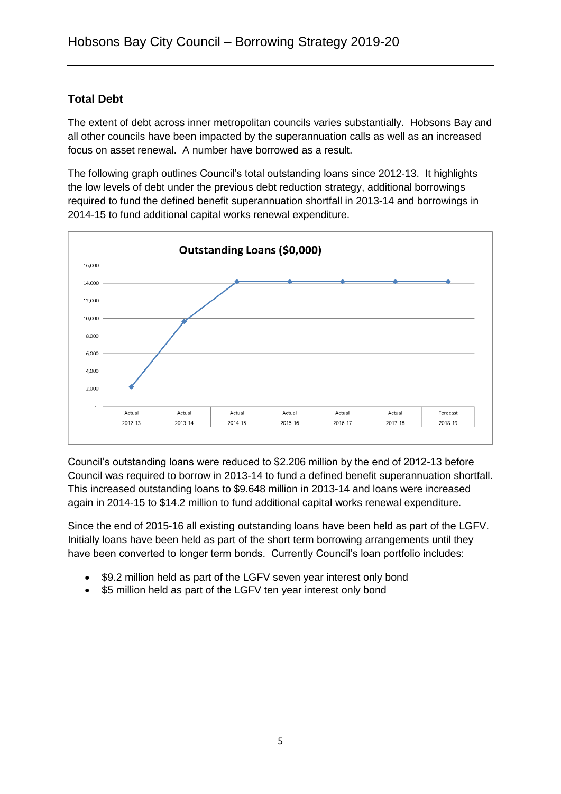# <span id="page-5-0"></span>**Total Debt**

The extent of debt across inner metropolitan councils varies substantially. Hobsons Bay and all other councils have been impacted by the superannuation calls as well as an increased focus on asset renewal. A number have borrowed as a result.

The following graph outlines Council's total outstanding loans since 2012-13. It highlights the low levels of debt under the previous debt reduction strategy, additional borrowings required to fund the defined benefit superannuation shortfall in 2013-14 and borrowings in 2014-15 to fund additional capital works renewal expenditure.



Council's outstanding loans were reduced to \$2.206 million by the end of 2012-13 before Council was required to borrow in 2013-14 to fund a defined benefit superannuation shortfall. This increased outstanding loans to \$9.648 million in 2013-14 and loans were increased again in 2014-15 to \$14.2 million to fund additional capital works renewal expenditure.

Since the end of 2015-16 all existing outstanding loans have been held as part of the LGFV. Initially loans have been held as part of the short term borrowing arrangements until they have been converted to longer term bonds. Currently Council's loan portfolio includes:

- \$9.2 million held as part of the LGFV seven year interest only bond
- \$5 million held as part of the LGFV ten year interest only bond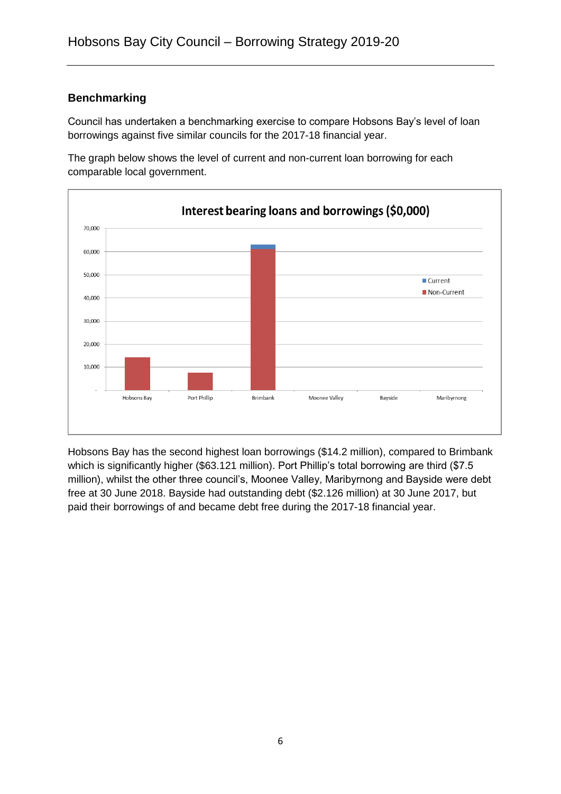### <span id="page-6-0"></span>**Benchmarking**

Council has undertaken a benchmarking exercise to compare Hobsons Bay's level of loan borrowings against five similar councils for the 2017-18 financial year.



The graph below shows the level of current and non-current loan borrowing for each comparable local government.

Hobsons Bay has the second highest loan borrowings (\$14.2 million), compared to Brimbank which is significantly higher (\$63.121 million). Port Phillip's total borrowing are third (\$7.5 million), whilst the other three council's, Moonee Valley, Maribyrnong and Bayside were debt free at 30 June 2018. Bayside had outstanding debt (\$2.126 million) at 30 June 2017, but paid their borrowings of and became debt free during the 2017-18 financial year.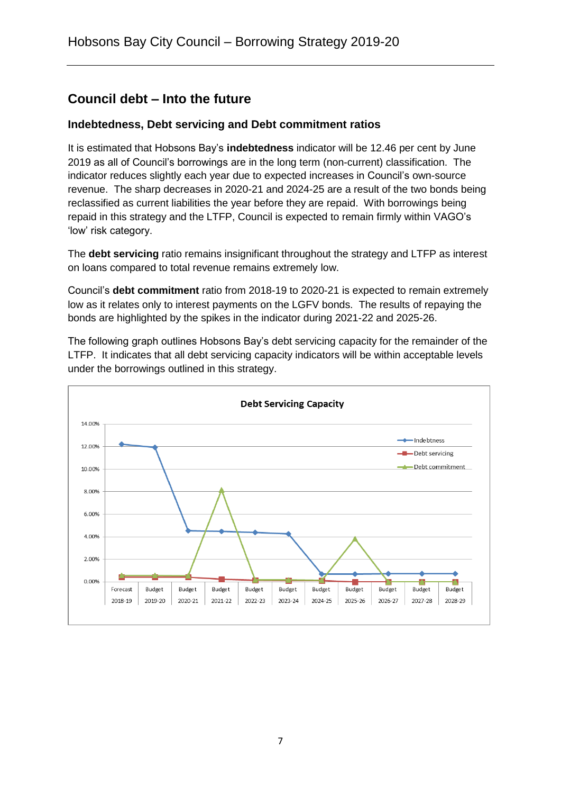# <span id="page-7-0"></span>**Council debt – Into the future**

### <span id="page-7-1"></span>**Indebtedness, Debt servicing and Debt commitment ratios**

It is estimated that Hobsons Bay's **indebtedness** indicator will be 12.46 per cent by June 2019 as all of Council's borrowings are in the long term (non-current) classification. The indicator reduces slightly each year due to expected increases in Council's own-source revenue. The sharp decreases in 2020-21 and 2024-25 are a result of the two bonds being reclassified as current liabilities the year before they are repaid. With borrowings being repaid in this strategy and the LTFP, Council is expected to remain firmly within VAGO's 'low' risk category.

The **debt servicing** ratio remains insignificant throughout the strategy and LTFP as interest on loans compared to total revenue remains extremely low.

Council's **debt commitment** ratio from 2018-19 to 2020-21 is expected to remain extremely low as it relates only to interest payments on the LGFV bonds. The results of repaying the bonds are highlighted by the spikes in the indicator during 2021-22 and 2025-26.

The following graph outlines Hobsons Bay's debt servicing capacity for the remainder of the LTFP. It indicates that all debt servicing capacity indicators will be within acceptable levels under the borrowings outlined in this strategy.

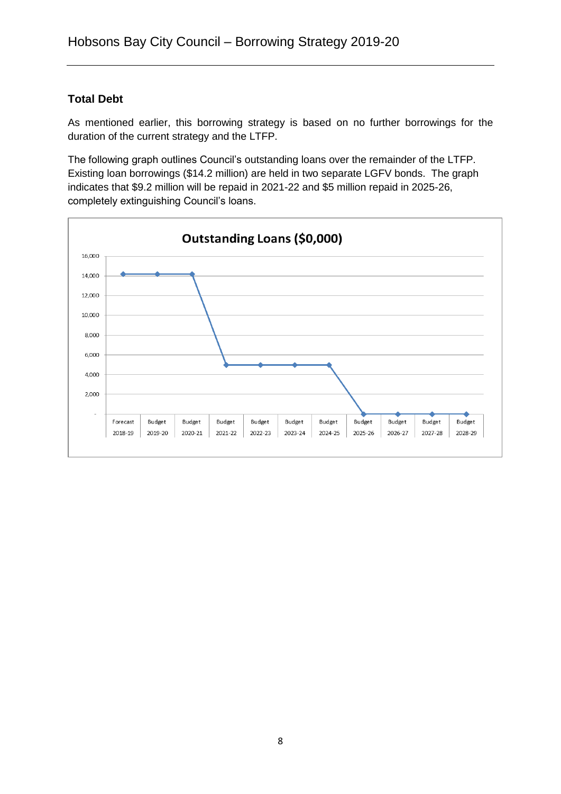# <span id="page-8-0"></span>**Total Debt**

As mentioned earlier, this borrowing strategy is based on no further borrowings for the duration of the current strategy and the LTFP.

The following graph outlines Council's outstanding loans over the remainder of the LTFP. Existing loan borrowings (\$14.2 million) are held in two separate LGFV bonds. The graph indicates that \$9.2 million will be repaid in 2021-22 and \$5 million repaid in 2025-26, completely extinguishing Council's loans.

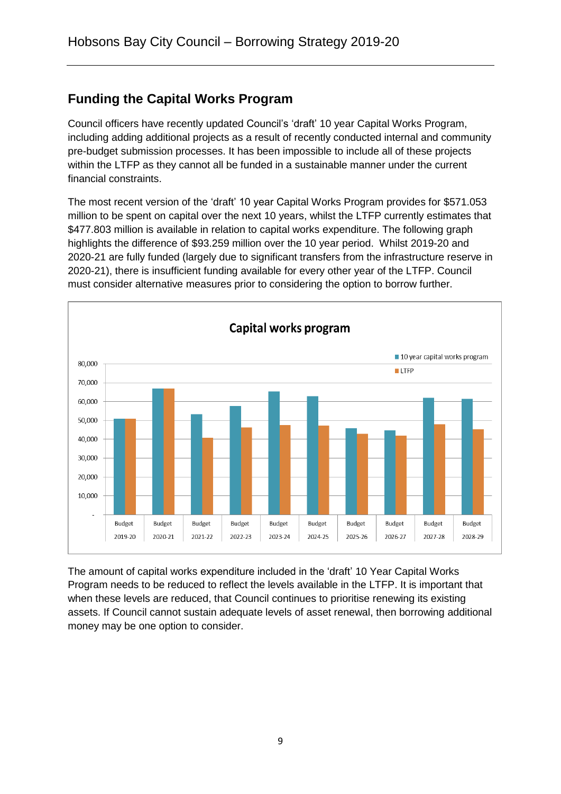# <span id="page-9-0"></span>**Funding the Capital Works Program**

Council officers have recently updated Council's 'draft' 10 year Capital Works Program, including adding additional projects as a result of recently conducted internal and community pre-budget submission processes. It has been impossible to include all of these projects within the LTFP as they cannot all be funded in a sustainable manner under the current financial constraints.

The most recent version of the 'draft' 10 year Capital Works Program provides for \$571.053 million to be spent on capital over the next 10 years, whilst the LTFP currently estimates that \$477.803 million is available in relation to capital works expenditure. The following graph highlights the difference of \$93.259 million over the 10 year period. Whilst 2019-20 and 2020-21 are fully funded (largely due to significant transfers from the infrastructure reserve in 2020-21), there is insufficient funding available for every other year of the LTFP. Council must consider alternative measures prior to considering the option to borrow further.



The amount of capital works expenditure included in the 'draft' 10 Year Capital Works Program needs to be reduced to reflect the levels available in the LTFP. It is important that when these levels are reduced, that Council continues to prioritise renewing its existing assets. If Council cannot sustain adequate levels of asset renewal, then borrowing additional money may be one option to consider.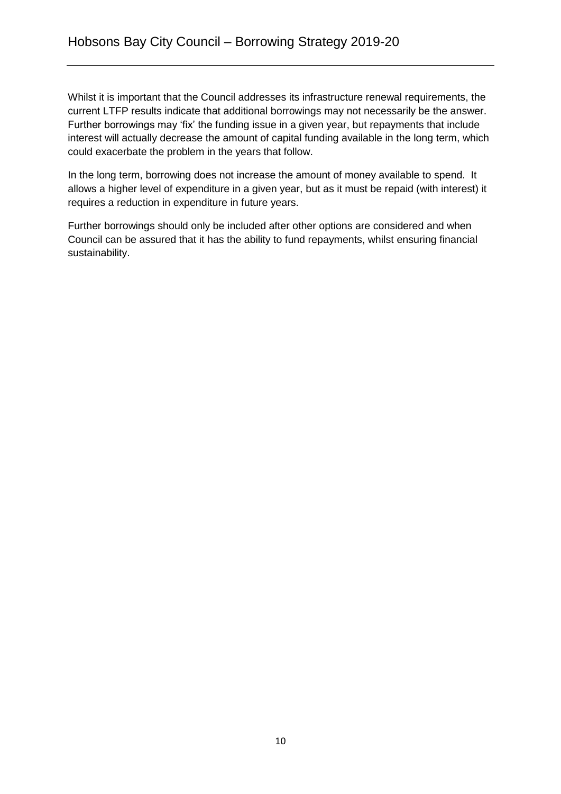Whilst it is important that the Council addresses its infrastructure renewal requirements, the current LTFP results indicate that additional borrowings may not necessarily be the answer. Further borrowings may 'fix' the funding issue in a given year, but repayments that include interest will actually decrease the amount of capital funding available in the long term, which could exacerbate the problem in the years that follow.

In the long term, borrowing does not increase the amount of money available to spend. It allows a higher level of expenditure in a given year, but as it must be repaid (with interest) it requires a reduction in expenditure in future years.

Further borrowings should only be included after other options are considered and when Council can be assured that it has the ability to fund repayments, whilst ensuring financial sustainability.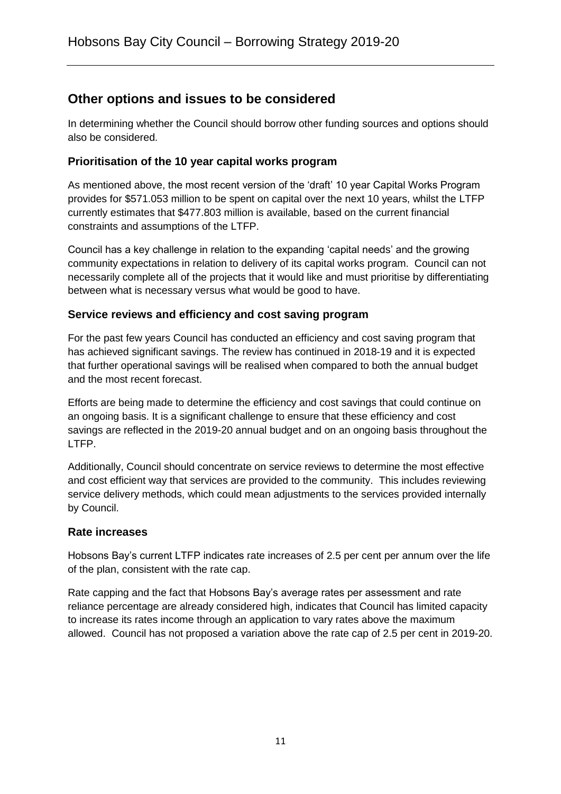# <span id="page-11-0"></span>**Other options and issues to be considered**

In determining whether the Council should borrow other funding sources and options should also be considered.

#### <span id="page-11-1"></span>**Prioritisation of the 10 year capital works program**

As mentioned above, the most recent version of the 'draft' 10 year Capital Works Program provides for \$571.053 million to be spent on capital over the next 10 years, whilst the LTFP currently estimates that \$477.803 million is available, based on the current financial constraints and assumptions of the LTFP.

Council has a key challenge in relation to the expanding 'capital needs' and the growing community expectations in relation to delivery of its capital works program. Council can not necessarily complete all of the projects that it would like and must prioritise by differentiating between what is necessary versus what would be good to have.

#### <span id="page-11-2"></span>**Service reviews and efficiency and cost saving program**

For the past few years Council has conducted an efficiency and cost saving program that has achieved significant savings. The review has continued in 2018-19 and it is expected that further operational savings will be realised when compared to both the annual budget and the most recent forecast.

Efforts are being made to determine the efficiency and cost savings that could continue on an ongoing basis. It is a significant challenge to ensure that these efficiency and cost savings are reflected in the 2019-20 annual budget and on an ongoing basis throughout the LTFP.

Additionally, Council should concentrate on service reviews to determine the most effective and cost efficient way that services are provided to the community. This includes reviewing service delivery methods, which could mean adjustments to the services provided internally by Council.

#### <span id="page-11-3"></span>**Rate increases**

Hobsons Bay's current LTFP indicates rate increases of 2.5 per cent per annum over the life of the plan, consistent with the rate cap.

Rate capping and the fact that Hobsons Bay's average rates per assessment and rate reliance percentage are already considered high, indicates that Council has limited capacity to increase its rates income through an application to vary rates above the maximum allowed. Council has not proposed a variation above the rate cap of 2.5 per cent in 2019-20.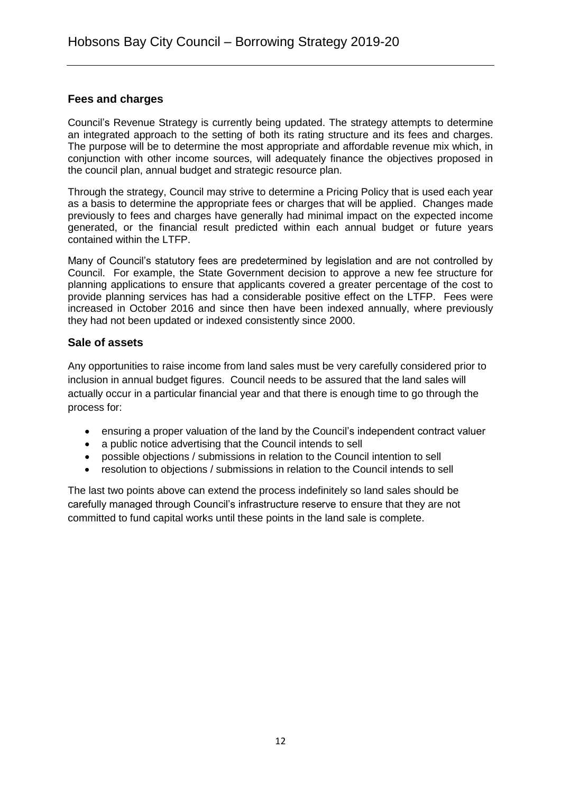#### <span id="page-12-0"></span>**Fees and charges**

Council's Revenue Strategy is currently being updated. The strategy attempts to determine an integrated approach to the setting of both its rating structure and its fees and charges. The purpose will be to determine the most appropriate and affordable revenue mix which, in conjunction with other income sources, will adequately finance the objectives proposed in the council plan, annual budget and strategic resource plan.

Through the strategy, Council may strive to determine a Pricing Policy that is used each year as a basis to determine the appropriate fees or charges that will be applied. Changes made previously to fees and charges have generally had minimal impact on the expected income generated, or the financial result predicted within each annual budget or future years contained within the LTFP.

Many of Council's statutory fees are predetermined by legislation and are not controlled by Council. For example, the State Government decision to approve a new fee structure for planning applications to ensure that applicants covered a greater percentage of the cost to provide planning services has had a considerable positive effect on the LTFP. Fees were increased in October 2016 and since then have been indexed annually, where previously they had not been updated or indexed consistently since 2000.

#### <span id="page-12-1"></span>**Sale of assets**

Any opportunities to raise income from land sales must be very carefully considered prior to inclusion in annual budget figures. Council needs to be assured that the land sales will actually occur in a particular financial year and that there is enough time to go through the process for:

- ensuring a proper valuation of the land by the Council's independent contract valuer
- a public notice advertising that the Council intends to sell
- possible objections / submissions in relation to the Council intention to sell
- resolution to objections / submissions in relation to the Council intends to sell

The last two points above can extend the process indefinitely so land sales should be carefully managed through Council's infrastructure reserve to ensure that they are not committed to fund capital works until these points in the land sale is complete.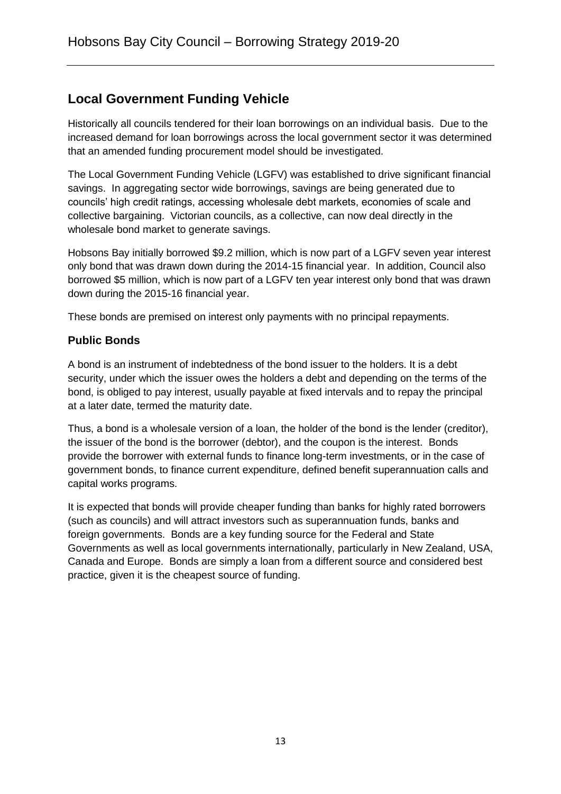# <span id="page-13-0"></span>**Local Government Funding Vehicle**

Historically all councils tendered for their loan borrowings on an individual basis. Due to the increased demand for loan borrowings across the local government sector it was determined that an amended funding procurement model should be investigated.

The Local Government Funding Vehicle (LGFV) was established to drive significant financial savings. In aggregating sector wide borrowings, savings are being generated due to councils' high credit ratings, accessing wholesale debt markets, economies of scale and collective bargaining. Victorian councils, as a collective, can now deal directly in the wholesale bond market to generate savings.

Hobsons Bay initially borrowed \$9.2 million, which is now part of a LGFV seven year interest only bond that was drawn down during the 2014-15 financial year. In addition, Council also borrowed \$5 million, which is now part of a LGFV ten year interest only bond that was drawn down during the 2015-16 financial year.

These bonds are premised on interest only payments with no principal repayments.

# <span id="page-13-1"></span>**Public Bonds**

A bond is an instrument of indebtedness of the bond issuer to the holders. It is a debt [security,](http://en.wikipedia.org/wiki/Security_(finance)) under which the issuer owes the holders a debt and depending on the terms of the bond, is obliged to pay [interest,](http://en.wikipedia.org/wiki/Interest) usually payable at fixed intervals and to repay the principal at a later date, termed the [maturity](http://en.wikipedia.org/wiki/Maturity_(finance)) date.

Thus, a bond is a wholesale version of a [loan,](http://en.wikipedia.org/wiki/Loan) the holder of the bond is the lender (creditor), the issuer of the bond is the borrower (debtor), and the coupon is the interest. Bonds provide the borrower with external funds to finance long-term [investments,](http://en.wikipedia.org/wiki/Investment) or in the case of [government bonds,](http://en.wikipedia.org/wiki/Government_bond) to finance current expenditure, defined benefit superannuation calls and capital works programs.

It is expected that bonds will provide cheaper funding than banks for highly rated borrowers (such as councils) and will attract investors such as superannuation funds, banks and foreign governments. Bonds are a key funding source for the Federal and State Governments as well as local governments internationally, particularly in New Zealand, USA, Canada and Europe. Bonds are simply a loan from a different source and considered best practice, given it is the cheapest source of funding.